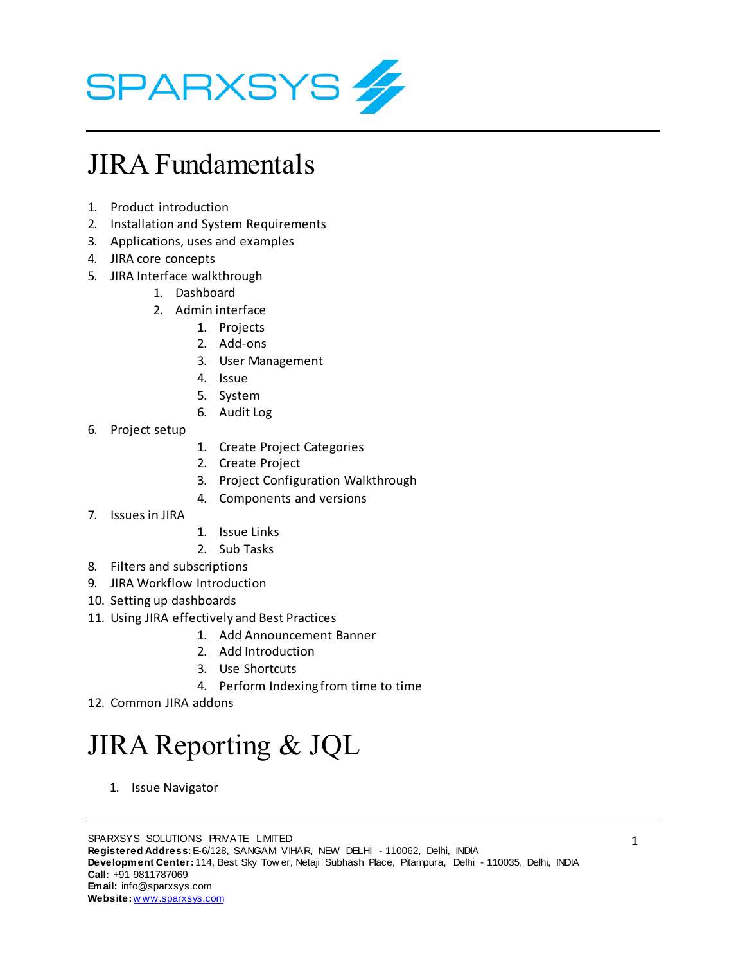

### JIRA Fundamentals

- 1. Product introduction
- 2. Installation and System Requirements
- 3. Applications, uses and examples
- 4. JIRA core concepts
- 5. JIRA Interface walkthrough
	- 1. Dashboard
	- 2. Admin interface
		- 1. Projects
		- 2. Add-ons
		- 3. User Management
		- 4. Issue
		- 5. System
		- 6. Audit Log
- 6. Project setup
- 1. Create Project Categories
- 2. Create Project
- 3. Project Configuration Walkthrough
- 4. Components and versions
- 7. Issues in JIRA
- 1. Issue Links
- 2. Sub Tasks
- 8. Filters and subscriptions
- 9. JIRA Workflow Introduction
- 10. Setting up dashboards
- 11. Using JIRA effectively and Best Practices
	- 1. Add Announcement Banner
	- 2. Add Introduction
	- 3. Use Shortcuts
	- 4. Perform Indexing from time to time
- 12. Common JIRA addons

# JIRA Reporting & JQL

1. Issue Navigator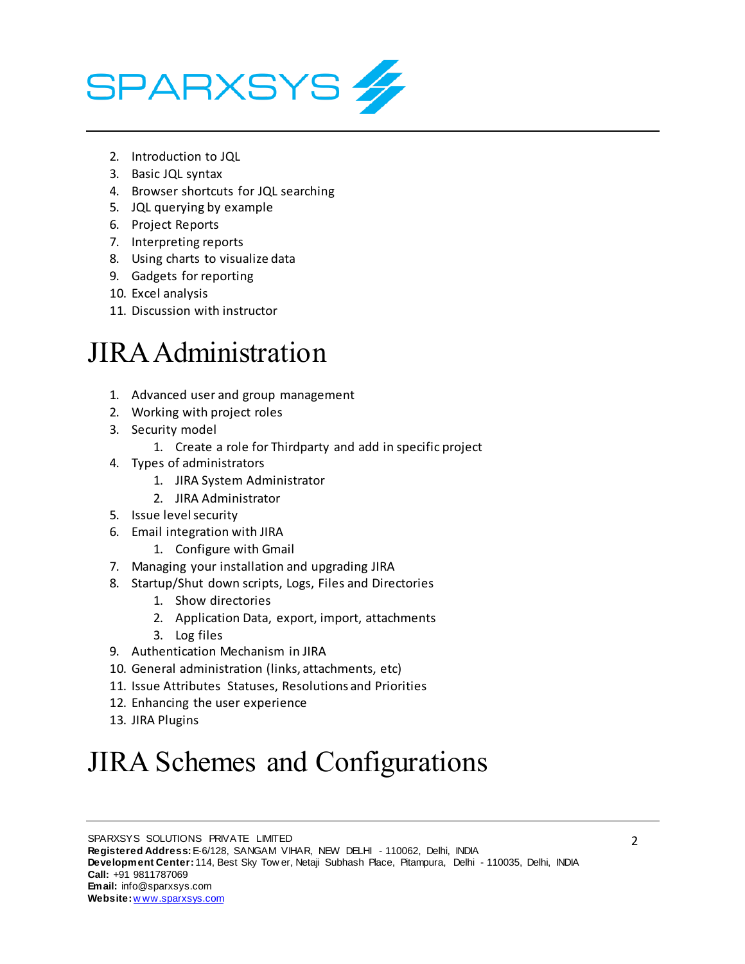

- 2. Introduction to JQL
- 3. Basic JQL syntax
- 4. Browser shortcuts for JQL searching
- 5. JQL querying by example
- 6. Project Reports
- 7. Interpreting reports
- 8. Using charts to visualize data
- 9. Gadgets for reporting
- 10. Excel analysis
- 11. Discussion with instructor

#### JIRA Administration

- 1. Advanced user and group management
- 2. Working with project roles
- 3. Security model
	- 1. Create a role for Thirdparty and add in specific project
- 4. Types of administrators
	- 1. JIRA System Administrator
	- 2. JIRA Administrator
- 5. Issue level security
- 6. Email integration with JIRA
	- 1. Configure with Gmail
- 7. Managing your installation and upgrading JIRA
- 8. Startup/Shut down scripts, Logs, Files and Directories
	- 1. Show directories
	- 2. Application Data, export, import, attachments
	- 3. Log files
- 9. Authentication Mechanism in JIRA
- 10. General administration (links, attachments, etc)
- 11. Issue Attributes Statuses, Resolutions and Priorities
- 12. Enhancing the user experience
- 13. JIRA Plugins

## JIRA Schemes and Configurations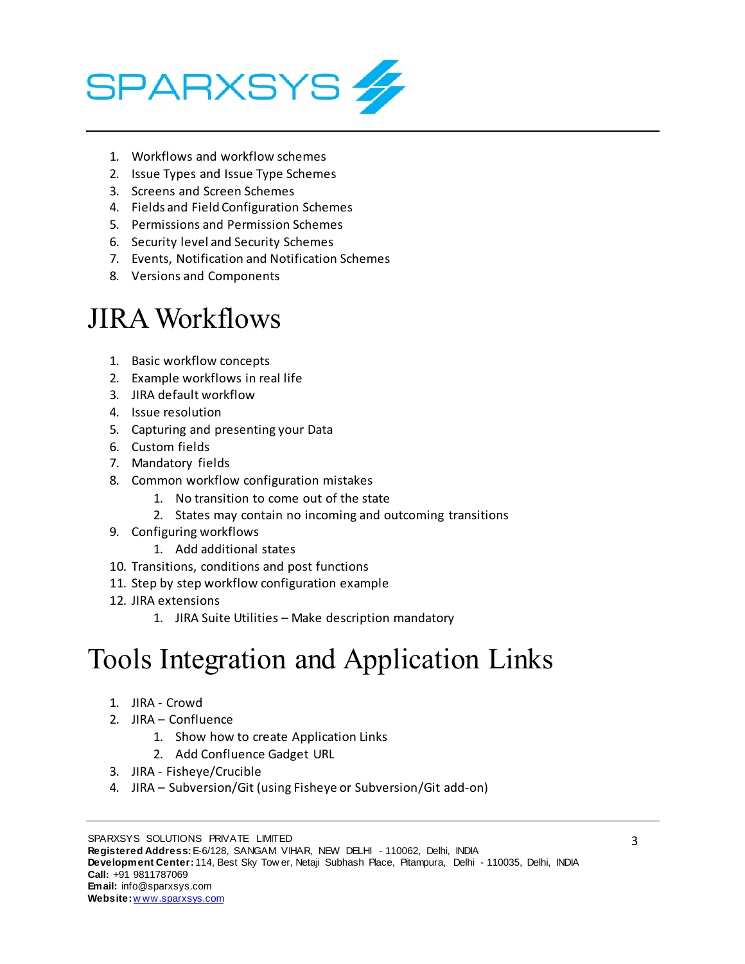

- 1. Workflows and workflow schemes
- 2. Issue Types and Issue Type Schemes
- 3. Screens and Screen Schemes
- 4. Fields and Field Configuration Schemes
- 5. Permissions and Permission Schemes
- 6. Security level and Security Schemes
- 7. Events, Notification and Notification Schemes
- 8. Versions and Components

#### JIRA Workflows

- 1. Basic workflow concepts
- 2. Example workflows in real life
- 3. JIRA default workflow
- 4. Issue resolution
- 5. Capturing and presenting your Data
- 6. Custom fields
- 7. Mandatory fields
- 8. Common workflow configuration mistakes
	- 1. No transition to come out of the state
	- 2. States may contain no incoming and outcoming transitions
- 9. Configuring workflows
	- 1. Add additional states
- 10. Transitions, conditions and post functions
- 11. Step by step workflow configuration example
- 12. JIRA extensions
	- 1. JIRA Suite Utilities Make description mandatory

### Tools Integration and Application Links

- 1. JIRA Crowd
- 2. JIRA Confluence
	- 1. Show how to create Application Links
	- 2. Add Confluence Gadget URL
- 3. JIRA Fisheye/Crucible
- 4. JIRA Subversion/Git (using Fisheye or Subversion/Git add-on)